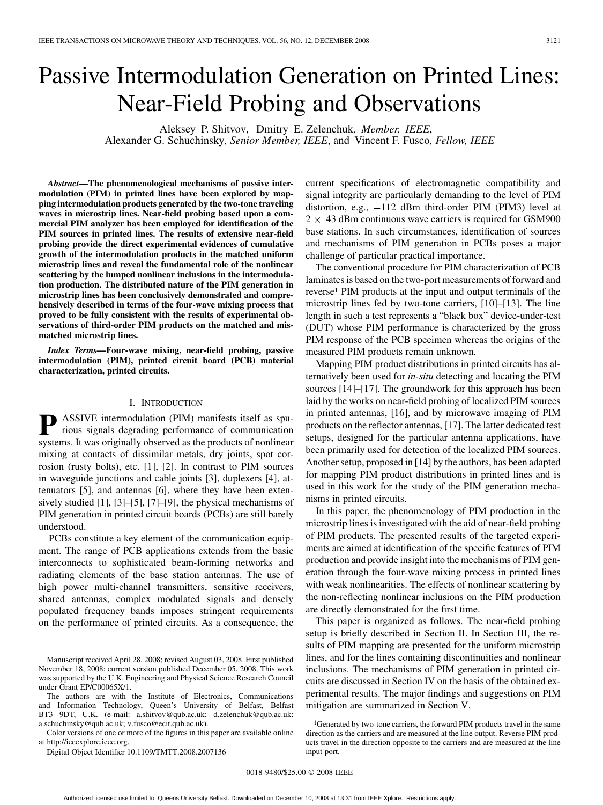# Passive Intermodulation Generation on Printed Lines: Near-Field Probing and Observations

Aleksey P. Shitvov, Dmitry E. Zelenchuk*, Member, IEEE*, Alexander G. Schuchinsky*, Senior Member, IEEE*, and Vincent F. Fusco*, Fellow, IEEE*

*Abstract—***The phenomenological mechanisms of passive intermodulation (PIM) in printed lines have been explored by mapping intermodulation products generated by the two-tone traveling waves in microstrip lines. Near-field probing based upon a commercial PIM analyzer has been employed for identification of the PIM sources in printed lines. The results of extensive near-field probing provide the direct experimental evidences of cumulative growth of the intermodulation products in the matched uniform microstrip lines and reveal the fundamental role of the nonlinear scattering by the lumped nonlinear inclusions in the intermodulation production. The distributed nature of the PIM generation in microstrip lines has been conclusively demonstrated and comprehensively described in terms of the four-wave mixing process that proved to be fully consistent with the results of experimental observations of third-order PIM products on the matched and mismatched microstrip lines.**

*Index Terms—***Four-wave mixing, near-field probing, passive intermodulation (PIM), printed circuit board (PCB) material characterization, printed circuits.**

# I. INTRODUCTION

**P** ASSIVE intermodulation (PIM) manifests itself as spurious signals degrading performance of communication systems. It was originally observed as the products of nonlinear mixing at contacts of dissimilar metals, dry joints, spot corrosion (rusty bolts), etc. [1], [2]. In contrast to PIM sources in waveguide junctions and cable joints [3], duplexers [4], attenuators [5], and antennas [6], where they have been extensively studied [1], [3]–[5], [7]–[9], the physical mechanisms of PIM generation in printed circuit boards (PCBs) are still barely understood.

PCBs constitute a key element of the communication equipment. The range of PCB applications extends from the basic interconnects to sophisticated beam-forming networks and radiating elements of the base station antennas. The use of high power multi-channel transmitters, sensitive receivers, shared antennas, complex modulated signals and densely populated frequency bands imposes stringent requirements on the performance of printed circuits. As a consequence, the

Manuscript received April 28, 2008; revised August 03, 2008. First published November 18, 2008; current version published December 05, 2008. This work was supported by the U.K. Engineering and Physical Science Research Council under Grant EP/C00065X/1.

The authors are with the Institute of Electronics, Communications and Information Technology, Queen's University of Belfast, Belfast BT3 9DT, U.K. (e-mail: a.shitvov@qub.ac.uk; d.zelenchuk@qub.ac.uk; a.schuchinsky@qub.ac.uk; v.fusco@ecit.qub.ac.uk).

Color versions of one or more of the figures in this paper are available online at http://ieeexplore.ieee.org.

Digital Object Identifier 10.1109/TMTT.2008.2007136

current specifications of electromagnetic compatibility and signal integrity are particularly demanding to the level of PIM distortion, e.g.,  $-112$  dBm third-order PIM (PIM3) level at  $2 \times 43$  dBm continuous wave carriers is required for GSM900 base stations. In such circumstances, identification of sources and mechanisms of PIM generation in PCBs poses a major challenge of particular practical importance.

The conventional procedure for PIM characterization of PCB laminates is based on the two-port measurements of forward and reverse1 PIM products at the input and output terminals of the microstrip lines fed by two-tone carriers, [10]–[13]. The line length in such a test represents a "black box" device-under-test (DUT) whose PIM performance is characterized by the gross PIM response of the PCB specimen whereas the origins of the measured PIM products remain unknown.

Mapping PIM product distributions in printed circuits has alternatively been used for *in-situ* detecting and locating the PIM sources [14]–[17]. The groundwork for this approach has been laid by the works on near-field probing of localized PIM sources in printed antennas, [16], and by microwave imaging of PIM products on the reflector antennas, [17]. The latter dedicated test setups, designed for the particular antenna applications, have been primarily used for detection of the localized PIM sources. Another setup, proposed in [14] by the authors, has been adapted for mapping PIM product distributions in printed lines and is used in this work for the study of the PIM generation mechanisms in printed circuits.

In this paper, the phenomenology of PIM production in the microstrip lines is investigated with the aid of near-field probing of PIM products. The presented results of the targeted experiments are aimed at identification of the specific features of PIM production and provide insight into the mechanisms of PIM generation through the four-wave mixing process in printed lines with weak nonlinearities. The effects of nonlinear scattering by the non-reflecting nonlinear inclusions on the PIM production are directly demonstrated for the first time.

This paper is organized as follows. The near-field probing setup is briefly described in Section II. In Section III, the results of PIM mapping are presented for the uniform microstrip lines, and for the lines containing discontinuities and nonlinear inclusions. The mechanisms of PIM generation in printed circuits are discussed in Section IV on the basis of the obtained experimental results. The major findings and suggestions on PIM mitigation are summarized in Section V.

<sup>&</sup>lt;sup>1</sup>Generated by two-tone carriers, the forward PIM products travel in the same direction as the carriers and are measured at the line output. Reverse PIM products travel in the direction opposite to the carriers and are measured at the line input port.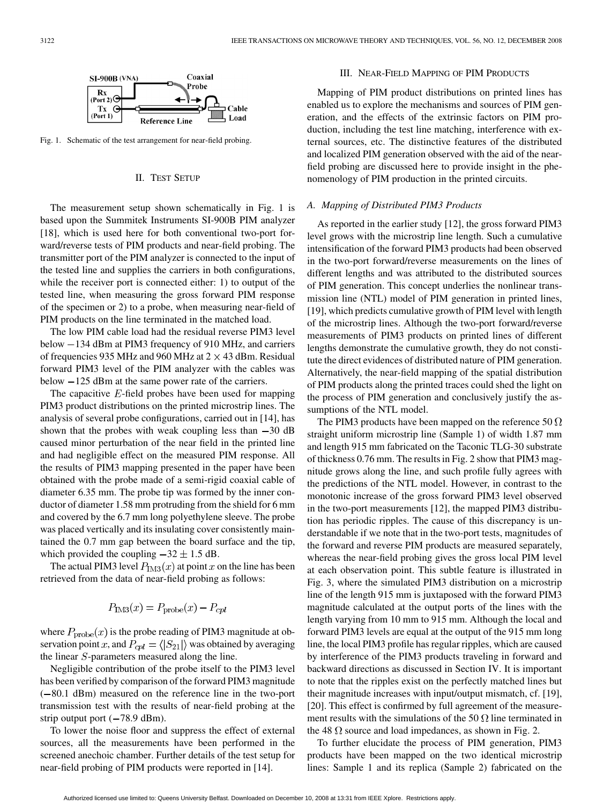

Fig. 1. Schematic of the test arrangement for near-field probing.

# II. TEST SETUP

The measurement setup shown schematically in Fig. 1 is based upon the Summitek Instruments SI-900B PIM analyzer [18], which is used here for both conventional two-port forward/reverse tests of PIM products and near-field probing. The transmitter port of the PIM analyzer is connected to the input of the tested line and supplies the carriers in both configurations, while the receiver port is connected either: 1) to output of the tested line, when measuring the gross forward PIM response of the specimen or 2) to a probe, when measuring near-field of PIM products on the line terminated in the matched load.

The low PIM cable load had the residual reverse PIM3 level below  $-134$  dBm at PIM3 frequency of 910 MHz, and carriers of frequencies 935 MHz and 960 MHz at  $2 \times 43$  dBm. Residual forward PIM3 level of the PIM analyzer with the cables was below  $-125$  dBm at the same power rate of the carriers.

The capacitive  $E$ -field probes have been used for mapping PIM3 product distributions on the printed microstrip lines. The analysis of several probe configurations, carried out in [14], has shown that the probes with weak coupling less than  $-30$  dB caused minor perturbation of the near field in the printed line and had negligible effect on the measured PIM response. All the results of PIM3 mapping presented in the paper have been obtained with the probe made of a semi-rigid coaxial cable of diameter 6.35 mm. The probe tip was formed by the inner conductor of diameter 1.58 mm protruding from the shield for 6 mm and covered by the 6.7 mm long polyethylene sleeve. The probe was placed vertically and its insulating cover consistently maintained the 0.7 mm gap between the board surface and the tip, which provided the coupling  $-32 \pm 1.5$  dB.

The actual PIM3 level  $P_{\text{IM3}}(x)$  at point x on the line has been retrieved from the data of near-field probing as follows:

$$
P_{\text{IM3}}(x) = P_{\text{probe}}(x) - P_{cp}
$$

where  $P_{\text{probe}}(x)$  is the probe reading of PIM3 magnitude at observation point x, and  $P_{cpl} = \langle |S_{21}| \rangle$  was obtained by averaging the linear  $S$ -parameters measured along the line.

Negligible contribution of the probe itself to the PIM3 level has been verified by comparison of the forward PIM3 magnitude  $(-80.1$  dBm) measured on the reference line in the two-port transmission test with the results of near-field probing at the strip output port  $(-78.9 \text{ dBm})$ .

To lower the noise floor and suppress the effect of external sources, all the measurements have been performed in the screened anechoic chamber. Further details of the test setup for near-field probing of PIM products were reported in [14].

# III. NEAR-FIELD MAPPING OF PIM PRODUCTS

Mapping of PIM product distributions on printed lines has enabled us to explore the mechanisms and sources of PIM generation, and the effects of the extrinsic factors on PIM production, including the test line matching, interference with external sources, etc. The distinctive features of the distributed and localized PIM generation observed with the aid of the nearfield probing are discussed here to provide insight in the phenomenology of PIM production in the printed circuits.

#### *A. Mapping of Distributed PIM3 Products*

As reported in the earlier study [12], the gross forward PIM3 level grows with the microstrip line length. Such a cumulative intensification of the forward PIM3 products had been observed in the two-port forward/reverse measurements on the lines of different lengths and was attributed to the distributed sources of PIM generation. This concept underlies the nonlinear transmission line (NTL) model of PIM generation in printed lines, [19], which predicts cumulative growth of PIM level with length of the microstrip lines. Although the two-port forward/reverse measurements of PIM3 products on printed lines of different lengths demonstrate the cumulative growth, they do not constitute the direct evidences of distributed nature of PIM generation. Alternatively, the near-field mapping of the spatial distribution of PIM products along the printed traces could shed the light on the process of PIM generation and conclusively justify the assumptions of the NTL model.

The PIM3 products have been mapped on the reference 50  $\Omega$ straight uniform microstrip line (Sample 1) of width 1.87 mm and length 915 mm fabricated on the Taconic TLG-30 substrate of thickness 0.76 mm. The results in Fig. 2 show that PIM3 magnitude grows along the line, and such profile fully agrees with the predictions of the NTL model. However, in contrast to the monotonic increase of the gross forward PIM3 level observed in the two-port measurements [12], the mapped PIM3 distribution has periodic ripples. The cause of this discrepancy is understandable if we note that in the two-port tests, magnitudes of the forward and reverse PIM products are measured separately, whereas the near-field probing gives the gross local PIM level at each observation point. This subtle feature is illustrated in Fig. 3, where the simulated PIM3 distribution on a microstrip line of the length 915 mm is juxtaposed with the forward PIM3 magnitude calculated at the output ports of the lines with the length varying from 10 mm to 915 mm. Although the local and forward PIM3 levels are equal at the output of the 915 mm long line, the local PIM3 profile has regular ripples, which are caused by interference of the PIM3 products traveling in forward and backward directions as discussed in Section IV. It is important to note that the ripples exist on the perfectly matched lines but their magnitude increases with input/output mismatch, cf. [19], [20]. This effect is confirmed by full agreement of the measurement results with the simulations of the 50  $\Omega$  line terminated in the 48  $\Omega$  source and load impedances, as shown in Fig. 2.

To further elucidate the process of PIM generation, PIM3 products have been mapped on the two identical microstrip lines: Sample 1 and its replica (Sample 2) fabricated on the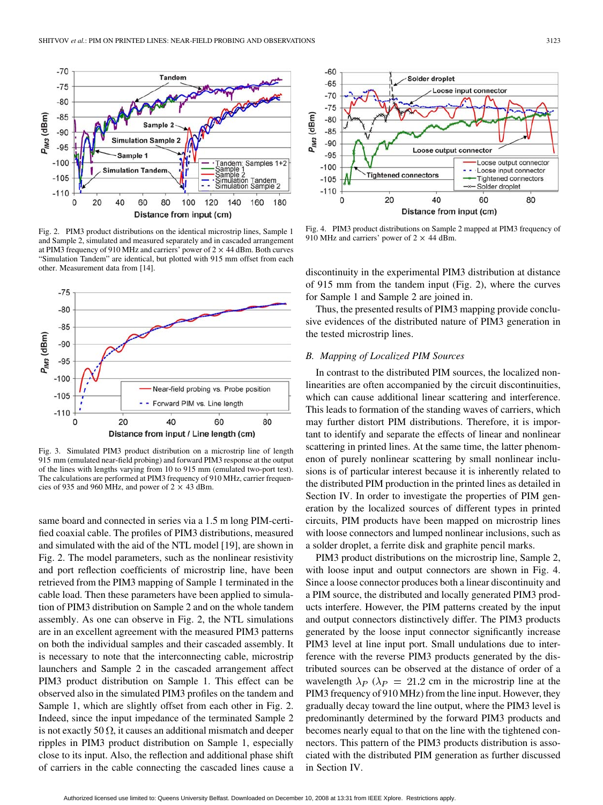

Fig. 2. PIM3 product distributions on the identical microstrip lines, Sample 1 and Sample 2, simulated and measured separately and in cascaded arrangement at PIM3 frequency of 910 MHz and carriers' power of  $2 \times 44$  dBm. Both curves "Simulation Tandem" are identical, but plotted with 915 mm offset from each other. Measurement data from [14].



Fig. 3. Simulated PIM3 product distribution on a microstrip line of length 915 mm (emulated near-field probing) and forward PIM3 response at the output of the lines with lengths varying from 10 to 915 mm (emulated two-port test). The calculations are performed at PIM3 frequency of 910 MHz, carrier frequencies of 935 and 960 MHz, and power of  $2 \times 43$  dBm.

same board and connected in series via a 1.5 m long PIM-certified coaxial cable. The profiles of PIM3 distributions, measured and simulated with the aid of the NTL model [19], are shown in Fig. 2. The model parameters, such as the nonlinear resistivity and port reflection coefficients of microstrip line, have been retrieved from the PIM3 mapping of Sample 1 terminated in the cable load. Then these parameters have been applied to simulation of PIM3 distribution on Sample 2 and on the whole tandem assembly. As one can observe in Fig. 2, the NTL simulations are in an excellent agreement with the measured PIM3 patterns on both the individual samples and their cascaded assembly. It is necessary to note that the interconnecting cable, microstrip launchers and Sample 2 in the cascaded arrangement affect PIM3 product distribution on Sample 1. This effect can be observed also in the simulated PIM3 profiles on the tandem and Sample 1, which are slightly offset from each other in Fig. 2. Indeed, since the input impedance of the terminated Sample 2 is not exactly 50  $\Omega$ , it causes an additional mismatch and deeper ripples in PIM3 product distribution on Sample 1, especially close to its input. Also, the reflection and additional phase shift of carriers in the cable connecting the cascaded lines cause a



Fig. 4. PIM3 product distributions on Sample 2 mapped at PIM3 frequency of 910 MHz and carriers' power of  $2 \times 44$  dBm.

discontinuity in the experimental PIM3 distribution at distance of 915 mm from the tandem input (Fig. 2), where the curves for Sample 1 and Sample 2 are joined in.

Thus, the presented results of PIM3 mapping provide conclusive evidences of the distributed nature of PIM3 generation in the tested microstrip lines.

#### *B. Mapping of Localized PIM Sources*

In contrast to the distributed PIM sources, the localized nonlinearities are often accompanied by the circuit discontinuities, which can cause additional linear scattering and interference. This leads to formation of the standing waves of carriers, which may further distort PIM distributions. Therefore, it is important to identify and separate the effects of linear and nonlinear scattering in printed lines. At the same time, the latter phenomenon of purely nonlinear scattering by small nonlinear inclusions is of particular interest because it is inherently related to the distributed PIM production in the printed lines as detailed in Section IV. In order to investigate the properties of PIM generation by the localized sources of different types in printed circuits, PIM products have been mapped on microstrip lines with loose connectors and lumped nonlinear inclusions, such as a solder droplet, a ferrite disk and graphite pencil marks.

PIM3 product distributions on the microstrip line, Sample 2, with loose input and output connectors are shown in Fig. 4. Since a loose connector produces both a linear discontinuity and a PIM source, the distributed and locally generated PIM3 products interfere. However, the PIM patterns created by the input and output connectors distinctively differ. The PIM3 products generated by the loose input connector significantly increase PIM3 level at line input port. Small undulations due to interference with the reverse PIM3 products generated by the distributed sources can be observed at the distance of order of a wavelength  $\lambda_P$  ( $\lambda_P$  = 21.2 cm in the microstrip line at the PIM3 frequency of 910 MHz) from the line input. However, they gradually decay toward the line output, where the PIM3 level is predominantly determined by the forward PIM3 products and becomes nearly equal to that on the line with the tightened connectors. This pattern of the PIM3 products distribution is associated with the distributed PIM generation as further discussed in Section IV.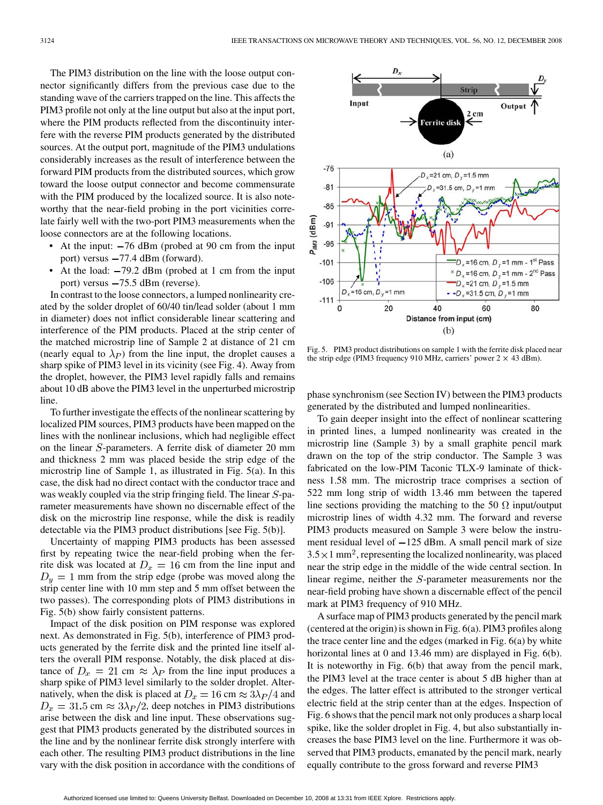The PIM3 distribution on the line with the loose output connector significantly differs from the previous case due to the standing wave of the carriers trapped on the line. This affects the PIM3 profile not only at the line output but also at the input port, where the PIM products reflected from the discontinuity interfere with the reverse PIM products generated by the distributed sources. At the output port, magnitude of the PIM3 undulations considerably increases as the result of interference between the forward PIM products from the distributed sources, which grow toward the loose output connector and become commensurate with the PIM produced by the localized source. It is also noteworthy that the near-field probing in the port vicinities correlate fairly well with the two-port PIM3 measurements when the loose connectors are at the following locations.

- At the input:  $-76$  dBm (probed at 90 cm from the input port) versus  $-77.4$  dBm (forward).
- At the load:  $-79.2$  dBm (probed at 1 cm from the input port) versus  $-75.5$  dBm (reverse).

In contrast to the loose connectors, a lumped nonlinearity created by the solder droplet of 60/40 tin/lead solder (about 1 mm in diameter) does not inflict considerable linear scattering and interference of the PIM products. Placed at the strip center of the matched microstrip line of Sample 2 at distance of 21 cm (nearly equal to  $\lambda_P$ ) from the line input, the droplet causes a sharp spike of PIM3 level in its vicinity (see Fig. 4). Away from the droplet, however, the PIM3 level rapidly falls and remains about 10 dB above the PIM3 level in the unperturbed microstrip line.

To further investigate the effects of the nonlinear scattering by localized PIM sources, PIM3 products have been mapped on the lines with the nonlinear inclusions, which had negligible effect on the linear  $S$ -parameters. A ferrite disk of diameter 20 mm and thickness 2 mm was placed beside the strip edge of the microstrip line of Sample 1, as illustrated in Fig. 5(a). In this case, the disk had no direct contact with the conductor trace and was weakly coupled via the strip fringing field. The linear  $S$ -parameter measurements have shown no discernable effect of the disk on the microstrip line response, while the disk is readily detectable via the PIM3 product distributions [see Fig. 5(b)].

Uncertainty of mapping PIM3 products has been assessed first by repeating twice the near-field probing when the ferrite disk was located at  $D_x = 16$  cm from the line input and  $D_y = 1$  mm from the strip edge (probe was moved along the strip center line with 10 mm step and 5 mm offset between the two passes). The corresponding plots of PIM3 distributions in Fig. 5(b) show fairly consistent patterns.

Impact of the disk position on PIM response was explored next. As demonstrated in Fig. 5(b), interference of PIM3 products generated by the ferrite disk and the printed line itself alters the overall PIM response. Notably, the disk placed at distance of  $D_x = 21$  cm  $\approx \lambda_P$  from the line input produces a sharp spike of PIM3 level similarly to the solder droplet. Alternatively, when the disk is placed at  $D_x = 16$  cm  $\approx 3\lambda_P/4$  and  $D_x = 31.5$  cm  $\approx 3\lambda_P/2$ , deep notches in PIM3 distributions arise between the disk and line input. These observations suggest that PIM3 products generated by the distributed sources in the line and by the nonlinear ferrite disk strongly interfere with each other. The resulting PIM3 product distributions in the line vary with the disk position in accordance with the conditions of



Fig. 5. PIM3 product distributions on sample 1 with the ferrite disk placed near the strip edge (PIM3 frequency 910 MHz, carriers' power  $2 \times 43$  dBm).

phase synchronism (see Section IV) between the PIM3 products generated by the distributed and lumped nonlinearities.

To gain deeper insight into the effect of nonlinear scattering in printed lines, a lumped nonlinearity was created in the microstrip line (Sample 3) by a small graphite pencil mark drawn on the top of the strip conductor. The Sample 3 was fabricated on the low-PIM Taconic TLX-9 laminate of thickness 1.58 mm. The microstrip trace comprises a section of 522 mm long strip of width 13.46 mm between the tapered line sections providing the matching to the 50  $\Omega$  input/output microstrip lines of width 4.32 mm. The forward and reverse PIM3 products measured on Sample 3 were below the instrument residual level of  $-125$  dBm. A small pencil mark of size  $3.5 \times 1$  mm<sup>2</sup>, representing the localized nonlinearity, was placed near the strip edge in the middle of the wide central section. In linear regime, neither the  $S$ -parameter measurements nor the near-field probing have shown a discernable effect of the pencil mark at PIM3 frequency of 910 MHz.

A surface map of PIM3 products generated by the pencil mark (centered at the origin) is shown in Fig. 6(a). PIM3 profiles along the trace center line and the edges (marked in Fig. 6(a) by white horizontal lines at 0 and 13.46 mm) are displayed in Fig. 6(b). It is noteworthy in Fig. 6(b) that away from the pencil mark, the PIM3 level at the trace center is about 5 dB higher than at the edges. The latter effect is attributed to the stronger vertical electric field at the strip center than at the edges. Inspection of Fig. 6 shows that the pencil mark not only produces a sharp local spike, like the solder droplet in Fig. 4, but also substantially increases the base PIM3 level on the line. Furthermore it was observed that PIM3 products, emanated by the pencil mark, nearly equally contribute to the gross forward and reverse PIM3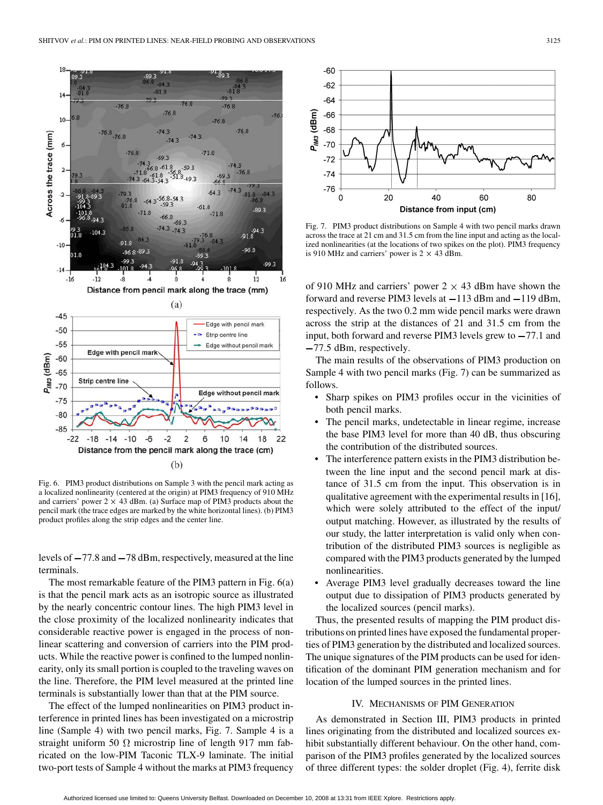

Fig. 6. PIM3 product distributions on Sample 3 with the pencil mark acting as a localized nonlinearity (centered at the origin) at PIM3 frequency of 910 MHz and carriers' power  $2 \times 43$  dBm. (a) Surface map of PIM3 products about the pencil mark (the trace edges are marked by the white horizontal lines). (b) PIM3 product profiles along the strip edges and the center line.

levels of  $-77.8$  and  $-78$  dBm, respectively, measured at the line terminals.

The most remarkable feature of the PIM3 pattern in Fig. 6(a) is that the pencil mark acts as an isotropic source as illustrated by the nearly concentric contour lines. The high PIM3 level in the close proximity of the localized nonlinearity indicates that considerable reactive power is engaged in the process of nonlinear scattering and conversion of carriers into the PIM products. While the reactive power is confined to the lumped nonlinearity, only its small portion is coupled to the traveling waves on the line. Therefore, the PIM level measured at the printed line terminals is substantially lower than that at the PIM source.

The effect of the lumped nonlinearities on PIM3 product interference in printed lines has been investigated on a microstrip line (Sample 4) with two pencil marks, Fig. 7. Sample 4 is a straight uniform 50  $\Omega$  microstrip line of length 917 mm fabricated on the low-PIM Taconic TLX-9 laminate. The initial two-port tests of Sample 4 without the marks at PIM3 frequency



Fig. 7. PIM3 product distributions on Sample 4 with two pencil marks drawn across the trace at 21 cm and 31.5 cm from the line input and acting as the localized nonlinearities (at the locations of two spikes on the plot). PIM3 frequency is 910 MHz and carriers' power is  $2 \times 43$  dBm.

of 910 MHz and carriers' power  $2 \times 43$  dBm have shown the forward and reverse PIM3 levels at  $-113$  dBm and  $-119$  dBm, respectively. As the two 0.2 mm wide pencil marks were drawn across the strip at the distances of 21 and 31.5 cm from the input, both forward and reverse PIM3 levels grew to  $-77.1$  and 77.5 dBm, respectively.

The main results of the observations of PIM3 production on Sample 4 with two pencil marks (Fig. 7) can be summarized as follows.

- Sharp spikes on PIM3 profiles occur in the vicinities of both pencil marks.
- The pencil marks, undetectable in linear regime, increase the base PIM3 level for more than 40 dB, thus obscuring the contribution of the distributed sources.
- The interference pattern exists in the PIM3 distribution between the line input and the second pencil mark at distance of 31.5 cm from the input. This observation is in qualitative agreement with the experimental results in [16], which were solely attributed to the effect of the input/ output matching. However, as illustrated by the results of our study, the latter interpretation is valid only when contribution of the distributed PIM3 sources is negligible as compared with the PIM3 products generated by the lumped nonlinearities.
- Average PIM3 level gradually decreases toward the line output due to dissipation of PIM3 products generated by the localized sources (pencil marks).

Thus, the presented results of mapping the PIM product distributions on printed lines have exposed the fundamental properties of PIM3 generation by the distributed and localized sources. The unique signatures of the PIM products can be used for identification of the dominant PIM generation mechanism and for location of the lumped sources in the printed lines.

## IV. MECHANISMS OF PIM GENERATION

As demonstrated in Section III, PIM3 products in printed lines originating from the distributed and localized sources exhibit substantially different behaviour. On the other hand, comparison of the PIM3 profiles generated by the localized sources of three different types: the solder droplet (Fig. 4), ferrite disk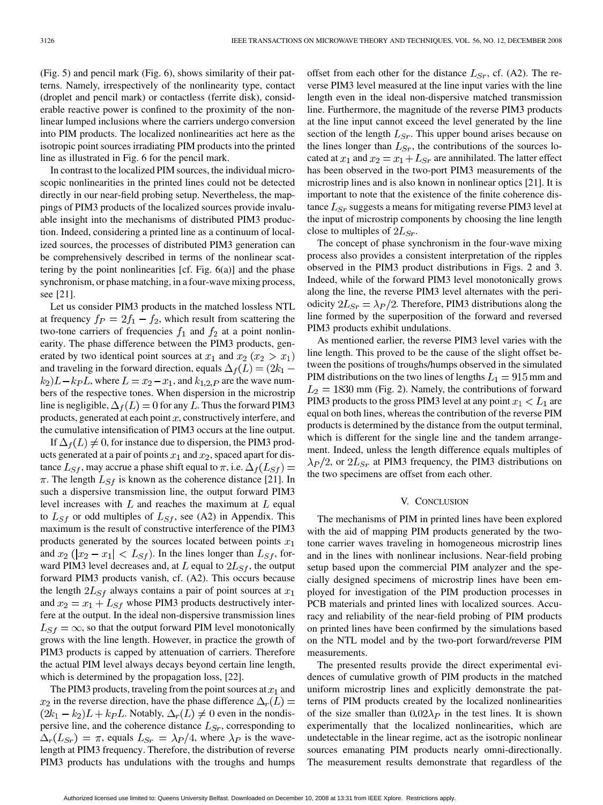(Fig. 5) and pencil mark (Fig. 6), shows similarity of their patterns. Namely, irrespectively of the nonlinearity type, contact (droplet and pencil mark) or contactless (ferrite disk), considerable reactive power is confined to the proximity of the nonlinear lumped inclusions where the carriers undergo conversion into PIM products. The localized nonlinearities act here as the isotropic point sources irradiating PIM products into the printed line as illustrated in Fig. 6 for the pencil mark.

In contrast to the localized PIM sources, the individual microscopic nonlinearities in the printed lines could not be detected directly in our near-field probing setup. Nevertheless, the mappings of PIM3 products of the localized sources provide invaluable insight into the mechanisms of distributed PIM3 production. Indeed, considering a printed line as a continuum of localized sources, the processes of distributed PIM3 generation can be comprehensively described in terms of the nonlinear scattering by the point nonlinearities [cf. Fig. 6(a)] and the phase synchronism, or phase matching, in a four-wave mixing process, see [21].

Let us consider PIM3 products in the matched lossless NTL at frequency  $f_P = 2f_1 - f_2$ , which result from scattering the two-tone carriers of frequencies  $f_1$  and  $f_2$  at a point nonlinearity. The phase difference between the PIM3 products, generated by two identical point sources at  $x_1$  and  $x_2$  ( $x_2 > x_1$ ) and traveling in the forward direction, equals  $\Delta_f(L) = (2k_1 (k_2)L - k_P L$ , where  $L = x_2 - x_1$ , and  $k_{1,2,P}$  are the wave numbers of the respective tones. When dispersion in the microstrip line is negligible,  $\Delta_f(L) = 0$  for any L. Thus the forward PIM3 products, generated at each point  $x$ , constructively interfere, and the cumulative intensification of PIM3 occurs at the line output.

If  $\Delta_f(L) \neq 0$ , for instance due to dispersion, the PIM3 products generated at a pair of points  $x_1$  and  $x_2$ , spaced apart for distance  $L_{Sf}$ , may accrue a phase shift equal to  $\pi$ , i.e.  $\Delta_f(L_{Sf}) =$  $\pi$ . The length  $L_{Sf}$  is known as the coherence distance [21]. In such a dispersive transmission line, the output forward PIM3 level increases with  $L$  and reaches the maximum at  $L$  equal to  $L_{Sf}$  or odd multiples of  $L_{Sf}$ , see (A2) in Appendix. This maximum is the result of constructive interference of the PIM3 products generated by the sources located between points  $x_1$ and  $x_2$  ( $|x_2 - x_1|$  <  $L_{Sf}$ ). In the lines longer than  $L_{Sf}$ , forward PIM3 level decreases and, at  $L$  equal to  $2L_{S<sub>f</sub>}$ , the output forward PIM3 products vanish, cf. (A2). This occurs because the length  $2L_{Sf}$  always contains a pair of point sources at  $x_1$ and  $x_2 = x_1 + L_{Sf}$  whose PIM3 products destructively interfere at the output. In the ideal non-dispersive transmission lines  $L_{Sf} = \infty$ , so that the output forward PIM level monotonically grows with the line length. However, in practice the growth of PIM3 products is capped by attenuation of carriers. Therefore the actual PIM level always decays beyond certain line length, which is determined by the propagation loss, [22].

The PIM3 products, traveling from the point sources at  $x_1$  and  $x_2$  in the reverse direction, have the phase difference  $\Delta_r(L)$  =  $(2k_1 - k_2)L + k_1L$ . Notably,  $\Delta_r(L) \neq 0$  even in the nondispersive line, and the coherence distance  $L_{Sr}$ , corresponding to  $\Delta_r(L_{Sr}) = \pi$ , equals  $L_{Sr} = \lambda_P/4$ , where  $\lambda_P$  is the wavelength at PIM3 frequency. Therefore, the distribution of reverse PIM3 products has undulations with the troughs and humps

offset from each other for the distance  $L_{Sr}$ , cf. (A2). The reverse PIM3 level measured at the line input varies with the line length even in the ideal non-dispersive matched transmission line. Furthermore, the magnitude of the reverse PIM3 products at the line input cannot exceed the level generated by the line section of the length  $L_{Sr}$ . This upper bound arises because on the lines longer than  $L_{Sr}$ , the contributions of the sources located at  $x_1$  and  $x_2 = x_1 + L_{Sr}$  are annihilated. The latter effect has been observed in the two-port PIM3 measurements of the microstrip lines and is also known in nonlinear optics [21]. It is important to note that the existence of the finite coherence distance  $L_{Sr}$  suggests a means for mitigating reverse PIM3 level at the input of microstrip components by choosing the line length close to multiples of  $2L_{Sr}$ .

The concept of phase synchronism in the four-wave mixing process also provides a consistent interpretation of the ripples observed in the PIM3 product distributions in Figs. 2 and 3. Indeed, while of the forward PIM3 level monotonically grows along the line, the reverse PIM3 level alternates with the periodicity  $2L_{Sr} = \lambda_P/2$ . Therefore, PIM3 distributions along the line formed by the superposition of the forward and reversed PIM3 products exhibit undulations.

As mentioned earlier, the reverse PIM3 level varies with the line length. This proved to be the cause of the slight offset between the positions of troughs/humps observed in the simulated PIM distributions on the two lines of lengths  $L_1 = 915$  mm and  $L_2 = 1830$  mm (Fig. 2). Namely, the contributions of forward PIM3 products to the gross PIM3 level at any point  $x_1 < L_1$  are equal on both lines, whereas the contribution of the reverse PIM products is determined by the distance from the output terminal, which is different for the single line and the tandem arrangement. Indeed, unless the length difference equals multiples of  $\lambda_P/2$ , or  $2L_{Sr}$  at PIM3 frequency, the PIM3 distributions on the two specimens are offset from each other.

### V. CONCLUSION

The mechanisms of PIM in printed lines have been explored with the aid of mapping PIM products generated by the twotone carrier waves traveling in homogeneous microstrip lines and in the lines with nonlinear inclusions. Near-field probing setup based upon the commercial PIM analyzer and the specially designed specimens of microstrip lines have been employed for investigation of the PIM production processes in PCB materials and printed lines with localized sources. Accuracy and reliability of the near-field probing of PIM products on printed lines have been confirmed by the simulations based on the NTL model and by the two-port forward/reverse PIM measurements.

The presented results provide the direct experimental evidences of cumulative growth of PIM products in the matched uniform microstrip lines and explicitly demonstrate the patterns of PIM products created by the localized nonlinearities of the size smaller than  $0.02\lambda_P$  in the test lines. It is shown experimentally that the localized nonlinearities, which are undetectable in the linear regime, act as the isotropic nonlinear sources emanating PIM products nearly omni-directionally. The measurement results demonstrate that regardless of the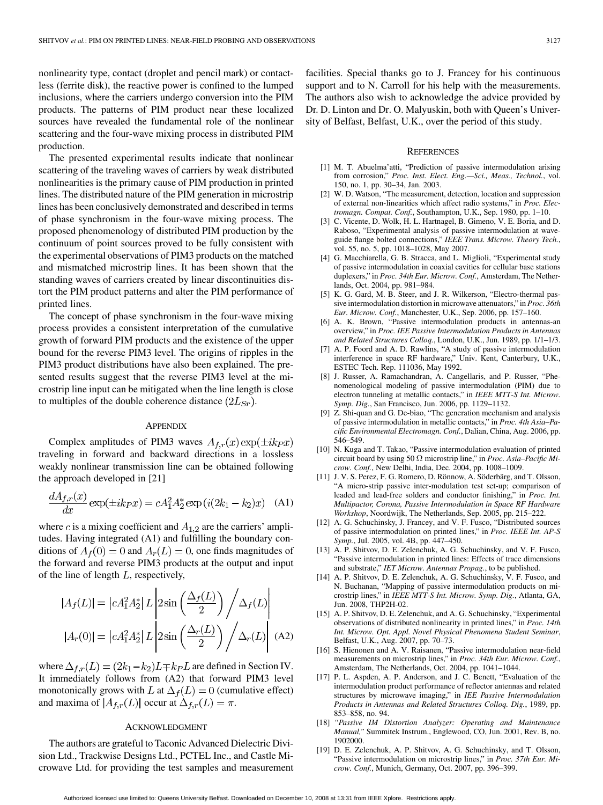nonlinearity type, contact (droplet and pencil mark) or contactless (ferrite disk), the reactive power is confined to the lumped inclusions, where the carriers undergo conversion into the PIM products. The patterns of PIM product near these localized sources have revealed the fundamental role of the nonlinear scattering and the four-wave mixing process in distributed PIM production.

The presented experimental results indicate that nonlinear scattering of the traveling waves of carriers by weak distributed nonlinearities is the primary cause of PIM production in printed lines. The distributed nature of the PIM generation in microstrip lines has been conclusively demonstrated and described in terms of phase synchronism in the four-wave mixing process. The proposed phenomenology of distributed PIM production by the continuum of point sources proved to be fully consistent with the experimental observations of PIM3 products on the matched and mismatched microstrip lines. It has been shown that the standing waves of carriers created by linear discontinuities distort the PIM product patterns and alter the PIM performance of printed lines.

The concept of phase synchronism in the four-wave mixing process provides a consistent interpretation of the cumulative growth of forward PIM products and the existence of the upper bound for the reverse PIM3 level. The origins of ripples in the PIM3 product distributions have also been explained. The presented results suggest that the reverse PIM3 level at the microstrip line input can be mitigated when the line length is close to multiples of the double coherence distance  $(2L_{Sr})$ .

#### **APPENDIX**

Complex amplitudes of PIM3 waves  $A_{f,r}(x) \exp(\pm i k_P x)$ traveling in forward and backward directions in a lossless weakly nonlinear transmission line can be obtained following the approach developed in [21]

$$
\frac{dA_{f,r}(x)}{dx}\exp(\pm ik_Px) = cA_1^2A_2^* \exp(i(2k_1 - k_2)x)
$$
 (A1)

where c is a mixing coefficient and  $A_{1,2}$  are the carriers' amplitudes. Having integrated (A1) and fulfilling the boundary conditions of  $A_f(0) = 0$  and  $A_r(L) = 0$ , one finds magnitudes of the forward and reverse PIM3 products at the output and input of the line of length  $L$ , respectively,

$$
|A_f(L)| = |cA_1^2 A_2^*| L \left| 2 \sin\left(\frac{\Delta_f(L)}{2}\right) / \Delta_f(L) \right|
$$
  

$$
|A_r(0)| = |cA_1^2 A_2^*| L \left| 2 \sin\left(\frac{\Delta_r(L)}{2}\right) / \Delta_r(L) \right| \text{ (A2)}
$$

where  $\Delta_{f,r}(L) = (2k_1 - k_2)L \mp k_P L$  are defined in Section IV. It immediately follows from (A2) that forward PIM3 level monotonically grows with L at  $\Delta_f(L) = 0$  (cumulative effect) and maxima of  $|A_{f,r}(L)|$  occur at  $\Delta_{f,r}(L) = \pi$ .

# ACKNOWLEDGMENT

The authors are grateful to Taconic Advanced Dielectric Division Ltd., Trackwise Designs Ltd., PCTEL Inc., and Castle Microwave Ltd. for providing the test samples and measurement facilities. Special thanks go to J. Francey for his continuous support and to N. Carroll for his help with the measurements. The authors also wish to acknowledge the advice provided by Dr. D. Linton and Dr. O. Malyuskin, both with Queen's University of Belfast, Belfast, U.K., over the period of this study.

#### **REFERENCES**

- [1] M. T. Abuelma'atti, "Prediction of passive intermodulation arising from corrosion," *Proc. Inst. Elect. Eng.—Sci., Meas., Technol.*, vol. 150, no. 1, pp. 30–34, Jan. 2003.
- [2] W. D. Watson, "The measurement, detection, location and suppression of external non-linearities which affect radio systems," in *Proc. Electromagn. Compat. Conf.*, Southampton, U.K., Sep. 1980, pp. 1–10.
- [3] C. Vicente, D. Wolk, H. L. Hartnagel, B. Gimeno, V. E. Boria, and D. Raboso, "Experimental analysis of passive intermodulation at waveguide flange bolted connections," *IEEE Trans. Microw. Theory Tech.*, vol. 55, no. 5, pp. 1018–1028, May 2007.
- [4] G. Macchiarella, G. B. Stracca, and L. Miglioli, "Experimental study of passive intermodulation in coaxial cavities for cellular base stations duplexers," in *Proc. 34th Eur. Microw. Conf.*, Amsterdam, The Netherlands, Oct. 2004, pp. 981–984.
- [5] K. G. Gard, M. B. Steer, and J. R. Wilkerson, "Electro-thermal passive intermodulation distortion in microwave attenuators," in *Proc. 36th Eur. Microw. Conf.*, Manchester, U.K., Sep. 2006, pp. 157–160.
- [6] A. K. Brown, "Passive intermodulation products in antennas-an overview," in *Proc. IEE Passive Intermodulation Products in Antennas and Related Structures Colloq.*, London, U.K., Jun. 1989, pp. 1/1–1/3.
- [7] A. P. Foord and A. D. Rawlins, "A study of passive intermodulation interference in space RF hardware," Univ. Kent, Canterbury, U.K., ESTEC Tech. Rep. 111036, May 1992.
- [8] J. Russer, A. Ramachandran, A. Cangellaris, and P. Russer, "Phenomenological modeling of passive intermodulation (PIM) due to electron tunneling at metallic contacts," in *IEEE MTT-S Int. Microw. Symp. Dig.*, San Francisco, Jun. 2006, pp. 1129–1132.
- [9] Z. Shi-quan and G. De-biao, "The generation mechanism and analysis of passive intermodulation in metallic contacts," in *Proc. 4th Asia–Pacific Environmental Electromagn. Conf.*, Dalian, China, Aug. 2006, pp. 546–549.
- [10] N. Kuga and T. Takao, "Passive intermodulation evaluation of printed circuit board by using 50 microstrip line," in *Proc. Asia–Pacific Microw. Conf.*, New Delhi, India, Dec. 2004, pp. 1008–1009.
- [11] J. V. S. Perez, F. G. Romero, D. Rönnow, A. Söderbärg, and T. Olsson, "A micro-strip passive inter-modulation test set-up; comparison of leaded and lead-free solders and conductor finishing," in *Proc. Int. Multipactor, Corona, Passive Intermodulation in Space RF Hardware Workshop*, Noordwijk, The Netherlands, Sep. 2005, pp. 215–222.
- [12] A. G. Schuchinsky, J. Francey, and V. F. Fusco, "Distributed sources of passive intermodulation on printed lines," in *Proc. IEEE Int. AP-S Symp.*, Jul. 2005, vol. 4B, pp. 447–450.
- [13] A. P. Shitvov, D. E. Zelenchuk, A. G. Schuchinsky, and V. F. Fusco, "Passive intermodulation in printed lines: Effects of trace dimensions and substrate," *IET Microw. Antennas Propag.*, to be published.
- [14] A. P. Shitvov, D. E. Zelenchuk, A. G. Schuchinsky, V. F. Fusco, and N. Buchanan, "Mapping of passive intermodulation products on microstrip lines," in *IEEE MTT-S Int. Microw. Symp. Dig.*, Atlanta, GA, Jun. 2008, THP2H-02.
- [15] A. P. Shitvov, D. E. Zelenchuk, and A. G. Schuchinsky, "Experimental observations of distributed nonlinearity in printed lines," in *Proc. 14th Int. Microw. Opt. Appl. Novel Physical Phenomena Student Seminar*, Belfast, U.K., Aug. 2007, pp. 70–73.
- [16] S. Hienonen and A. V. Raisanen, "Passive intermodulation near-field measurements on microstrip lines," in *Proc. 34th Eur. Microw. Conf.*, Amsterdam, The Netherlands, Oct. 2004, pp. 1041–1044.
- [17] P. L. Aspden, A. P. Anderson, and J. C. Benett, "Evaluation of the intermodulation product performance of reflector antennas and related structures by microwave imaging," in *IEE Passive Intermodulation Products in Antennas and Related Structures Colloq. Dig.*, 1989, pp. 853–858, no. 94.
- [18] *"Passive IM Distortion Analyzer: Operating and Maintenance Manual,"* Summitek Instrum., Englewood, CO, Jun. 2001, Rev. B, no. 1902000.
- [19] D. E. Zelenchuk, A. P. Shitvov, A. G. Schuchinsky, and T. Olsson, "Passive intermodulation on microstrip lines," in *Proc. 37th Eur. Microw. Conf.*, Munich, Germany, Oct. 2007, pp. 396–399.